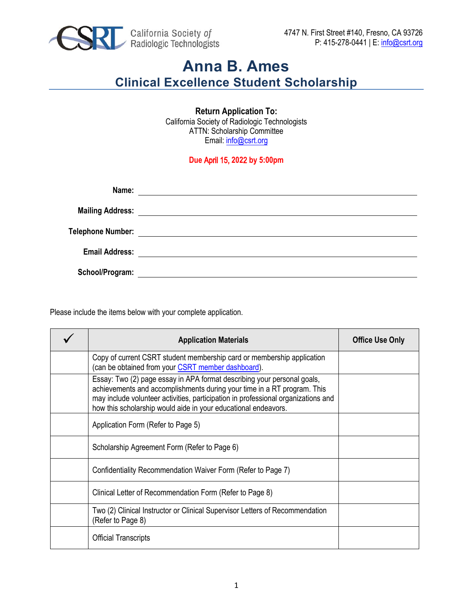

**Return Application To:**  California Society of Radiologic Technologists ATTN: Scholarship Committee Email: [info@csrt.org](mailto:info@csrt.org)

## **Due** April 15, **202**2 **by 5:00pm**

| Name:                 | <u> 1989 - Andrea Stadt Britain, fransk politik (d. 1989)</u>   |
|-----------------------|-----------------------------------------------------------------|
|                       |                                                                 |
|                       |                                                                 |
| <b>Email Address:</b> |                                                                 |
|                       | <u> 1989 - John Stein, Amerikaansk konstantinopler († 1958)</u> |
| School/Program:       |                                                                 |

Please include the items below with your complete application.

| <b>Application Materials</b>                                                                                                                                                                                                                                                                              | <b>Office Use Only</b> |
|-----------------------------------------------------------------------------------------------------------------------------------------------------------------------------------------------------------------------------------------------------------------------------------------------------------|------------------------|
| Copy of current CSRT student membership card or membership application<br>(can be obtained from your CSRT member dashboard).                                                                                                                                                                              |                        |
| Essay: Two (2) page essay in APA format describing your personal goals,<br>achievements and accomplishments during your time in a RT program. This<br>may include volunteer activities, participation in professional organizations and<br>how this scholarship would aide in your educational endeavors. |                        |
| Application Form (Refer to Page 5)                                                                                                                                                                                                                                                                        |                        |
| Scholarship Agreement Form (Refer to Page 6)                                                                                                                                                                                                                                                              |                        |
| Confidentiality Recommendation Waiver Form (Refer to Page 7)                                                                                                                                                                                                                                              |                        |
| Clinical Letter of Recommendation Form (Refer to Page 8)                                                                                                                                                                                                                                                  |                        |
| Two (2) Clinical Instructor or Clinical Supervisor Letters of Recommendation<br>(Refer to Page 8)                                                                                                                                                                                                         |                        |
| <b>Official Transcripts</b>                                                                                                                                                                                                                                                                               |                        |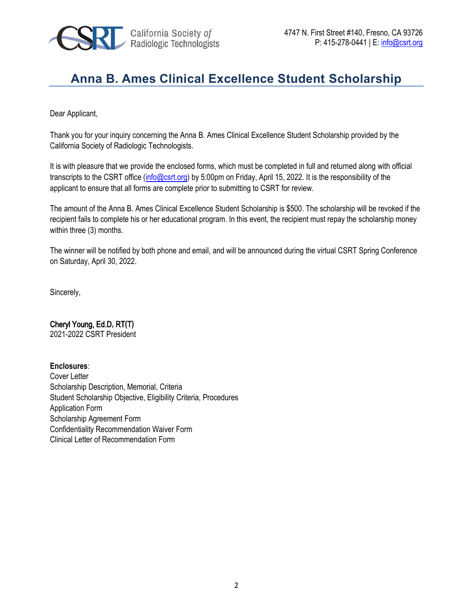

Dear Applicant,

Thank you for your inquiry concerning the Anna B. Ames Clinical Excellence Student Scholarship provided by the California Society of Radiologic Technologists.

It is with pleasure that we provide the enclosed forms, which must be completed in full and returned along with official transcripts to the CSRT office [\(info@csrt.org\)](mailto:info@csrt.org) by 5:00pm on Friday, April 15, 2022. It is the responsibility of the applicant to ensure that all forms are complete prior to submitting to CSRT for review.

The amount of the Anna B. Ames Clinical Excellence Student Scholarship is \$500. The scholarship will be revoked if the recipient fails to complete his or her educational program. In this event, the recipient must repay the scholarship money within three (3) months.

The winner will be notified by both phone and email, and will be announced during the virtual CSRT Spring Conference on Saturday, April 30, 2022.

Sincerely,

## Cheryl Young, Ed.D**,** RT**(**T**)**

2021-2022 CSRT President

## **Enclosures**:

Cover Letter Scholarship Description, Memorial, Criteria Student Scholarship Objective, Eligibility Criteria, Procedures Application Form Scholarship Agreement Form Confidentiality Recommendation Waiver Form Clinical Letter of Recommendation Form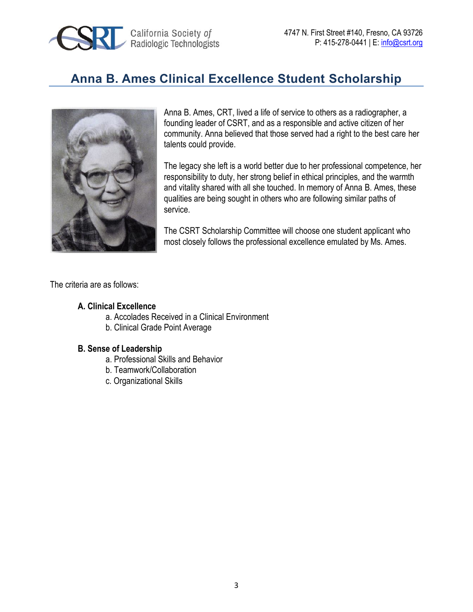



Anna B. Ames, CRT, lived a life of service to others as a radiographer, a founding leader of CSRT, and as a responsible and active citizen of her community. Anna believed that those served had a right to the best care her talents could provide.

The legacy she left is a world better due to her professional competence, her responsibility to duty, her strong belief in ethical principles, and the warmth and vitality shared with all she touched. In memory of Anna B. Ames, these qualities are being sought in others who are following similar paths of service.

The CSRT Scholarship Committee will choose one student applicant who most closely follows the professional excellence emulated by Ms. Ames.

The criteria are as follows:

### **A. Clinical Excellence**

- a. Accolades Received in a Clinical Environment
- b. Clinical Grade Point Average

#### **B. Sense of Leadership**

- a. Professional Skills and Behavior
- b. Teamwork/Collaboration
- c. Organizational Skills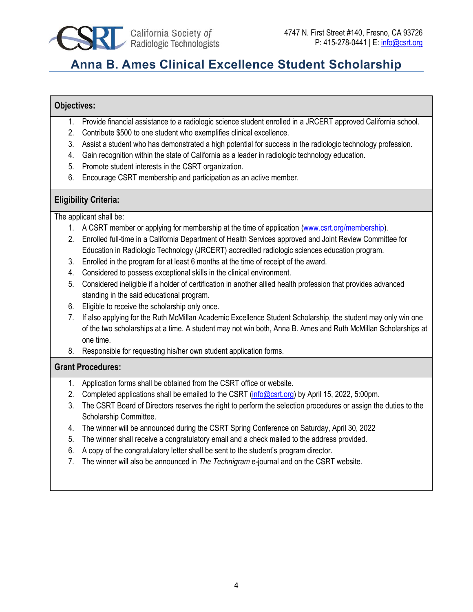

## **Objectives:**

- 1. Provide financial assistance to a radiologic science student enrolled in a JRCERT approved California school.
- 2. Contribute \$500 to one student who exemplifies clinical excellence.
- 3. Assist a student who has demonstrated a high potential for success in the radiologic technology profession.
- 4. Gain recognition within the state of California as a leader in radiologic technology education.
- 5. Promote student interests in the CSRT organization.
- 6. Encourage CSRT membership and participation as an active member.

## **Eligibility Criteria:**

The applicant shall be:

- 1. A CSRT member or applying for membership at the time of application [\(www.csrt.org/membership\)](https://www.csrt.org/membership).
- 2. Enrolled full-time in a California Department of Health Services approved and Joint Review Committee for Education in Radiologic Technology (JRCERT) accredited radiologic sciences education program.
- 3. Enrolled in the program for at least 6 months at the time of receipt of the award.
- 4. Considered to possess exceptional skills in the clinical environment.
- 5. Considered ineligible if a holder of certification in another allied health profession that provides advanced standing in the said educational program.
- 6. Eligible to receive the scholarship only once.
- 7. If also applying for the Ruth McMillan Academic Excellence Student Scholarship, the student may only win one of the two scholarships at a time. A student may not win both, Anna B. Ames and Ruth McMillan Scholarships at one time.
- 8. Responsible for requesting his/her own student application forms.

## **Grant Procedures:**

- 1. Application forms shall be obtained from the CSRT office or website.
- 2. Completed applications shall be emailed to the CSRT [\(info@csrt.org\)](mailto:info@csrt.org) by April 15, 2022, 5:00pm.
- 3. The CSRT Board of Directors reserves the right to perform the selection procedures or assign the duties to the Scholarship Committee.
- 4. The winner will be announced during the CSRT Spring Conference on Saturday, April 30, 2022
- 5. The winner shall receive a congratulatory email and a check mailed to the address provided.
- 6. A copy of the congratulatory letter shall be sent to the student's program director.
- 7. The winner will also be announced in *The Technigram* e-journal and on the CSRT website.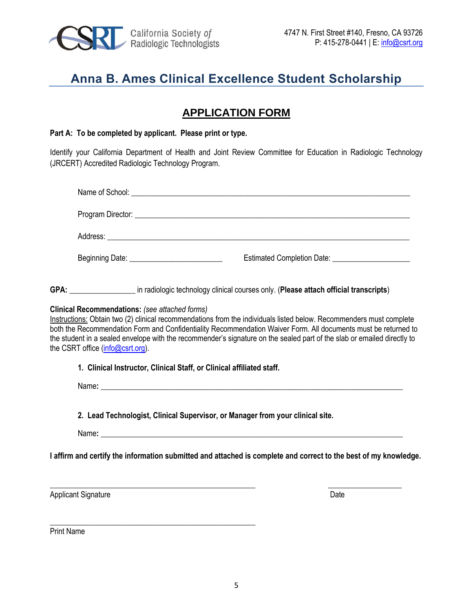

## **APPLICATION FORM**

#### **Part A: To be completed by applicant. Please print or type.**

\_\_\_\_\_\_\_\_\_\_\_\_\_\_\_\_\_\_\_\_\_\_\_\_\_\_\_\_\_\_\_\_\_\_\_\_\_\_\_\_\_\_\_\_\_\_\_\_\_\_\_\_\_

Identify your California Department of Health and Joint Review Committee for Education in Radiologic Technology (JRCERT) Accredited Radiologic Technology Program.

|                                                                                           | Name of School: <u>the contract of the contract of the contract of the contract of the contract of the contract of the contract of the contract of the contract of the contract of the contract of the contract of the contract </u>                                                                                                                                                                                                      |
|-------------------------------------------------------------------------------------------|-------------------------------------------------------------------------------------------------------------------------------------------------------------------------------------------------------------------------------------------------------------------------------------------------------------------------------------------------------------------------------------------------------------------------------------------|
|                                                                                           |                                                                                                                                                                                                                                                                                                                                                                                                                                           |
|                                                                                           |                                                                                                                                                                                                                                                                                                                                                                                                                                           |
|                                                                                           | Beginning Date: _____________________________<br>Estimated Completion Date: ______________________                                                                                                                                                                                                                                                                                                                                        |
|                                                                                           | GPA: _____________________ in radiologic technology clinical courses only. (Please attach official transcripts)                                                                                                                                                                                                                                                                                                                           |
| <b>Clinical Recommendations:</b> (see attached forms)<br>the CSRT office (info@csrt.org). | Instructions: Obtain two (2) clinical recommendations from the individuals listed below. Recommenders must complete<br>both the Recommendation Form and Confidentiality Recommendation Waiver Form. All documents must be returned to<br>the student in a sealed envelope with the recommender's signature on the sealed part of the slab or emailed directly to<br>1. Clinical Instructor, Clinical Staff, or Clinical affiliated staff. |
|                                                                                           |                                                                                                                                                                                                                                                                                                                                                                                                                                           |
|                                                                                           | 2. Lead Technologist, Clinical Supervisor, or Manager from your clinical site.                                                                                                                                                                                                                                                                                                                                                            |
|                                                                                           |                                                                                                                                                                                                                                                                                                                                                                                                                                           |
|                                                                                           | I affirm and certify the information submitted and attached is complete and correct to the best of my knowledge.                                                                                                                                                                                                                                                                                                                          |
| <b>Applicant Signature</b>                                                                | Date                                                                                                                                                                                                                                                                                                                                                                                                                                      |

Print Name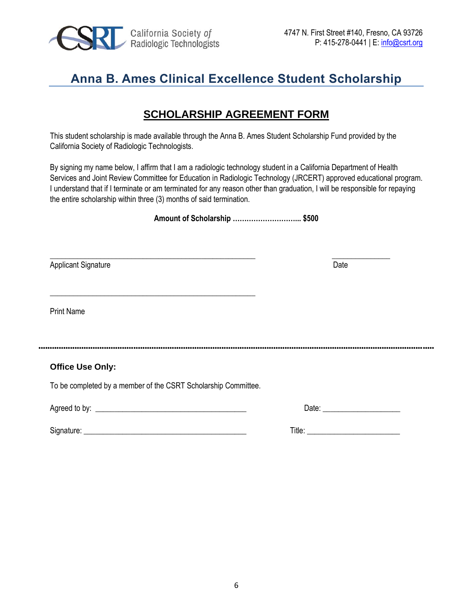

## **SCHOLARSHIP AGREEMENT FORM**

This student scholarship is made available through the Anna B. Ames Student Scholarship Fund provided by the California Society of Radiologic Technologists.

By signing my name below, I affirm that I am a radiologic technology student in a California Department of Health Services and Joint Review Committee for Education in Radiologic Technology (JRCERT) approved educational program. I understand that if I terminate or am terminated for any reason other than graduation, I will be responsible for repaying the entire scholarship within three (3) months of said termination.

**Amount of Scholarship ………………………... \$500** 

 $\_$  , and the set of the set of the set of the set of the set of the set of the set of the set of the set of the set of the set of the set of the set of the set of the set of the set of the set of the set of the set of th Applicant Signature Date

Print Name

## **Office Use Only:**

To be completed by a member of the CSRT Scholarship Committee.

\_\_\_\_\_\_\_\_\_\_\_\_\_\_\_\_\_\_\_\_\_\_\_\_\_\_\_\_\_\_\_\_\_\_\_\_\_\_\_\_\_\_\_\_\_\_\_\_\_\_\_\_\_

Agreed to by: \_\_\_\_\_\_\_\_\_\_\_\_\_\_\_\_\_\_\_\_\_\_\_\_\_\_\_\_\_\_\_\_\_\_\_\_\_\_\_ Date: \_\_\_\_\_\_\_\_\_\_\_\_\_\_\_\_\_\_\_\_

| $\sim$<br>۰.<br>монашк | .<br>11 I F<br>. |  |
|------------------------|------------------|--|
|                        |                  |  |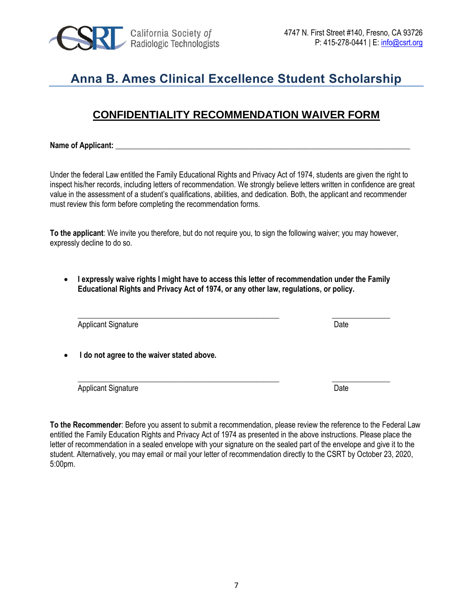

## **CONFIDENTIALITY RECOMMENDATION WAIVER FORM**

Name of Applicant:

Under the federal Law entitled the Family Educational Rights and Privacy Act of 1974, students are given the right to inspect his/her records, including letters of recommendation. We strongly believe letters written in confidence are great value in the assessment of a student's qualifications, abilities, and dedication. Both, the applicant and recommender must review this form before completing the recommendation forms.

**To the applicant**: We invite you therefore, but do not require you, to sign the following waiver; you may however, expressly decline to do so.

• **I expressly waive rights I might have to access this letter of recommendation under the Family Educational Rights and Privacy Act of 1974, or any other law, regulations, or policy.**

Applicant Signature Date

• **I do not agree to the waiver stated above.**

Applicant Signature Date Date Contract and Date Date Date

**To the Recommender**: Before you assent to submit a recommendation, please review the reference to the Federal Law entitled the Family Education Rights and Privacy Act of 1974 as presented in the above instructions. Please place the letter of recommendation in a sealed envelope with your signature on the sealed part of the envelope and give it to the student. Alternatively, you may email or mail your letter of recommendation directly to the CSRT by October 23, 2020, 5:00pm.

\_\_\_\_\_\_\_\_\_\_\_\_\_\_\_\_\_\_\_\_\_\_\_\_\_\_\_\_\_\_\_\_\_\_\_\_\_\_\_\_\_\_\_\_\_\_\_\_\_\_\_\_ \_\_\_\_\_\_\_\_\_\_\_\_\_\_\_

\_\_\_\_\_\_\_\_\_\_\_\_\_\_\_\_\_\_\_\_\_\_\_\_\_\_\_\_\_\_\_\_\_\_\_\_\_\_\_\_\_\_\_\_\_\_\_\_\_\_\_\_ \_\_\_\_\_\_\_\_\_\_\_\_\_\_\_